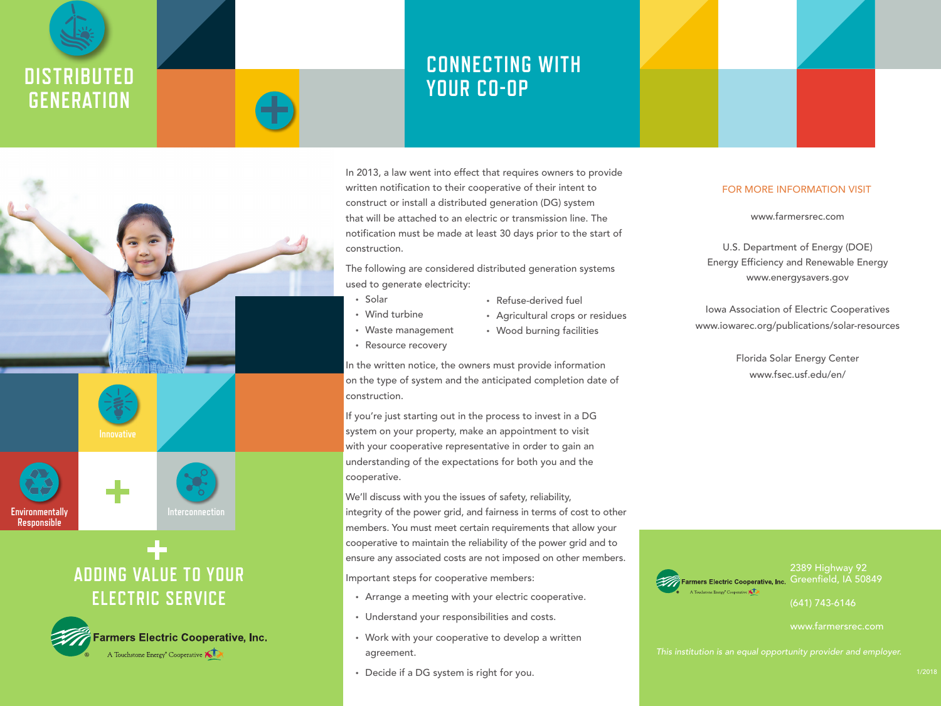











# **ADDING VALUE TO YOUR ELECTRIC SERVICE**



## **CONNECTING WITH YOUR CO-OP**

In 2013, a law went into effect that requires owners to provide written notification to their cooperative of their intent to construct or install a distributed generation (DG) system that will be attached to an electric or transmission line. The notification must be made at least 30 days prior to the start of construction.

The following are considered distributed generation systems used to generate electricity:

- Solar
- Wind turbine
- Waste management • Resource recovery
- Agricultural crops or residues
- Wood burning facilities

• Refuse-derived fuel

In the written notice, the owners must provide information on the type of system and the anticipated completion date of construction.

If you're just starting out in the process to invest in a DG system on your property, make an appointment to visit with your cooperative representative in order to gain an understanding of the expectations for both you and the cooperative.

We'll discuss with you the issues of safety, reliability, integrity of the power grid, and fairness in terms of cost to other members. You must meet certain requirements that allow your cooperative to maintain the reliability of the power grid and to ensure any associated costs are not imposed on other members.

Important steps for cooperative members:

- Arrange a meeting with your electric cooperative.
- Understand your responsibilities and costs.
- Work with your cooperative to develop a written agreement.
- Decide if a DG system is right for you.



www.farmersrec.com

U.S. Department of Energy (DOE) Energy Efficiency and Renewable Energy www.energysavers.gov

Iowa Association of Electric Cooperatives www.iowarec.org/publications/solar-resources

> Florida Solar Energy Center www.fsec.usf.edu/en/



(641) 743-6146

www.farmersrec.com